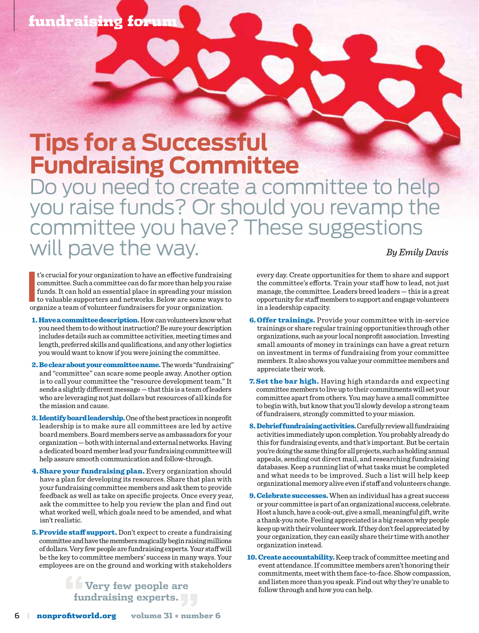## fundraising forum

## **Tips for a Successful Fundraising Committee**

Do you need to create a committee to help you raise funds? Or should you revamp the committee you have? These suggestions will pave the way. *By Emily Davis* 

**I**'s crucial for your organization to have an effective fundraisic committee. Such a committee can do far more than help you ra funds. It can hold an essential place in spreading your missic to valuable supporters and net t's crucial for your organization to have an effective fundraising committee. Such a committee can do far more than help you raise funds. It can hold an essential place in spreading your mission to valuable supporters and networks. Below are some ways to

- 1. Have a committee description. How can volunteers know what you need them to do without instruction? Be sure your description includes details such as committee activities, meeting times and length, preferred skills and qualifications, and any other logistics you would want to know if you were joining the committee.
- 2. Be clear about your committee name. The words "fundraising" and "committee" can scare some people away. Another option is to call your committee the "resource development team." It sends a slightly different message — that this is a team of leaders who are leveraging not just dollars but resources of all kinds for the mission and cause.
- 3. Identify board leadership. One of the best practices in nonprofit leadership is to make sure all committees are led by active board members. Board members serve as ambassadors for your organization — both with internal and external networks. Having a dedicated board member lead your fundraising committee will help assure smooth communication and follow-through.
- 4. Share your fundraising plan. Every organization should have a plan for developing its resources. Share that plan with your fundraising committee members and ask them to provide feedback as well as take on specific projects. Once every year, ask the committee to help you review the plan and find out what worked well, which goals need to be amended, and what isn't realistic.
- 5. Provide staff support. Don't expect to create a fundraising committee and have the members magically begin raising millions of dollars. Very few people are fundraising experts. Your staff will be the key to committee members' success in many ways. Your employees are on the ground and working with stakeholders

**Example 1** Very few people are **fundraising experts."**

every day. Create opportunities for them to share and support the committee's efforts. Train your staff how to lead, not just manage, the committee. Leaders breed leaders — this is a great opportunity for staff members to support and engage volunteers in a leadership capacity.

- 6. Offer trainings. Provide your committee with in-service trainings or share regular training opportunities through other organizations, such as your local nonprofit association. Investing small amounts of money in trainings can have a great return on investment in terms of fundraising from your committee members. It also shows you value your committee members and appreciate their work.
- 7. Set the bar high. Having high standards and expecting committee members to live up to their commitments will set your committee apart from others. You may have a small committee to begin with, but know that you'll slowly develop a strong team of fundraisers, strongly committed to your mission.
- 8. Debrief fundraising activities. Carefully review all fundraising activities immediately upon completion. You probably already do this for fundraising events, and that's important. But be certain you're doing the same thing for all projects, such as holding annual appeals, sending out direct mail, and researching fundraising databases. Keep a running list of what tasks must be completed and what needs to be improved. Such a list will help keep organizational memory alive even if staff and volunteers change.
- **9. Celebrate successes.** When an individual has a great success or your committee is part of an organizational success, celebrate. Host a lunch, have a cook-out, give a small, meaningful gift, write a thank-you note. Feeling appreciated is a big reason why people keep up with their volunteer work. If they don't feel appreciated by your organization, they can easily share their time with another organization instead.
- 10. Create accountability. Keep track of committee meeting and event attendance. If committee members aren't honoring their commitments, meet with them face-to-face. Show compassion, and listen more than you speak. Find out why they're unable to follow through and how you can help.